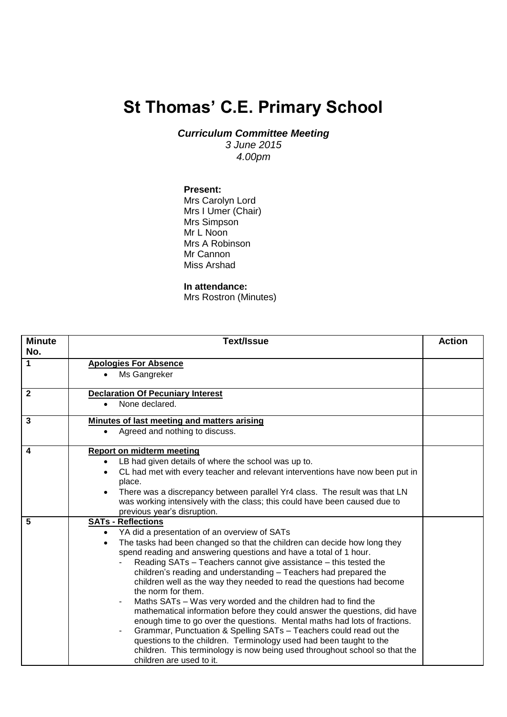## **St Thomas' C.E. Primary School**

*Curriculum Committee Meeting*

*3 June 2015 4.00pm*

## **Present:**

Mrs Carolyn Lord Mrs I Umer (Chair) Mrs Simpson Mr L Noon Mrs A Robinson Mr Cannon Miss Arshad

## **In attendance:**

Mrs Rostron (Minutes)

| <b>Minute</b><br>No. | Text/Issue                                                                                                                            | <b>Action</b> |
|----------------------|---------------------------------------------------------------------------------------------------------------------------------------|---------------|
| 1                    | <b>Apologies For Absence</b>                                                                                                          |               |
|                      | Ms Gangreker<br>$\bullet$                                                                                                             |               |
| $\overline{2}$       | <b>Declaration Of Pecuniary Interest</b>                                                                                              |               |
|                      | None declared.<br>$\bullet$                                                                                                           |               |
| 3                    | Minutes of last meeting and matters arising                                                                                           |               |
|                      | Agreed and nothing to discuss.<br>$\bullet$                                                                                           |               |
| 4                    | <b>Report on midterm meeting</b>                                                                                                      |               |
|                      | LB had given details of where the school was up to.                                                                                   |               |
|                      | CL had met with every teacher and relevant interventions have now been put in<br>$\bullet$                                            |               |
|                      | place.                                                                                                                                |               |
|                      | There was a discrepancy between parallel Yr4 class. The result was that LN<br>$\bullet$                                               |               |
|                      | was working intensively with the class; this could have been caused due to                                                            |               |
|                      | previous year's disruption.                                                                                                           |               |
| 5                    | <b>SATs - Reflections</b>                                                                                                             |               |
|                      | YA did a presentation of an overview of SATs<br>$\bullet$                                                                             |               |
|                      | The tasks had been changed so that the children can decide how long they<br>$\bullet$                                                 |               |
|                      | spend reading and answering questions and have a total of 1 hour.<br>Reading SATs – Teachers cannot give assistance – this tested the |               |
|                      | children's reading and understanding - Teachers had prepared the                                                                      |               |
|                      | children well as the way they needed to read the questions had become                                                                 |               |
|                      | the norm for them.                                                                                                                    |               |
|                      | Maths SATs - Was very worded and the children had to find the                                                                         |               |
|                      | mathematical information before they could answer the questions, did have                                                             |               |
|                      | enough time to go over the questions. Mental maths had lots of fractions.                                                             |               |
|                      | Grammar, Punctuation & Spelling SATs - Teachers could read out the                                                                    |               |
|                      | questions to the children. Terminology used had been taught to the                                                                    |               |
|                      | children. This terminology is now being used throughout school so that the                                                            |               |
|                      | children are used to it.                                                                                                              |               |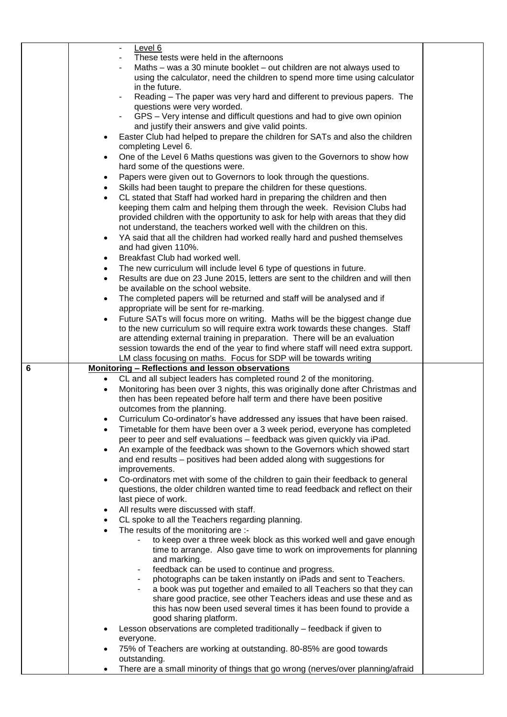|   |           | Level 6                                                                                                                                            |  |
|---|-----------|----------------------------------------------------------------------------------------------------------------------------------------------------|--|
|   |           | These tests were held in the afternoons                                                                                                            |  |
|   |           | Maths – was a 30 minute booklet – out children are not always used to                                                                              |  |
|   |           | using the calculator, need the children to spend more time using calculator                                                                        |  |
|   |           | in the future.                                                                                                                                     |  |
|   |           | Reading - The paper was very hard and different to previous papers. The                                                                            |  |
|   |           | questions were very worded.                                                                                                                        |  |
|   |           | GPS – Very intense and difficult questions and had to give own opinion                                                                             |  |
|   |           | and justify their answers and give valid points.                                                                                                   |  |
|   |           | Easter Club had helped to prepare the children for SATs and also the children                                                                      |  |
|   |           | completing Level 6.                                                                                                                                |  |
|   | $\bullet$ | One of the Level 6 Maths questions was given to the Governors to show how                                                                          |  |
|   |           | hard some of the questions were.                                                                                                                   |  |
|   | ٠         | Papers were given out to Governors to look through the questions.                                                                                  |  |
|   |           | Skills had been taught to prepare the children for these questions.                                                                                |  |
|   |           | CL stated that Staff had worked hard in preparing the children and then<br>keeping them calm and helping them through the week. Revision Clubs had |  |
|   |           | provided children with the opportunity to ask for help with areas that they did                                                                    |  |
|   |           | not understand, the teachers worked well with the children on this.                                                                                |  |
|   | $\bullet$ | YA said that all the children had worked really hard and pushed themselves                                                                         |  |
|   |           | and had given 110%.                                                                                                                                |  |
|   | $\bullet$ | Breakfast Club had worked well.                                                                                                                    |  |
|   | ٠         | The new curriculum will include level 6 type of questions in future.                                                                               |  |
|   | $\bullet$ | Results are due on 23 June 2015, letters are sent to the children and will then                                                                    |  |
|   |           | be available on the school website.                                                                                                                |  |
|   | $\bullet$ | The completed papers will be returned and staff will be analysed and if                                                                            |  |
|   |           | appropriate will be sent for re-marking.                                                                                                           |  |
|   | $\bullet$ | Future SATs will focus more on writing. Maths will be the biggest change due                                                                       |  |
|   |           | to the new curriculum so will require extra work towards these changes. Staff                                                                      |  |
|   |           | are attending external training in preparation. There will be an evaluation                                                                        |  |
|   |           | session towards the end of the year to find where staff will need extra support.                                                                   |  |
|   |           |                                                                                                                                                    |  |
|   |           | LM class focusing on maths. Focus for SDP will be towards writing                                                                                  |  |
| 6 |           | Monitoring - Reflections and lesson observations                                                                                                   |  |
|   | $\bullet$ | CL and all subject leaders has completed round 2 of the monitoring.                                                                                |  |
|   | $\bullet$ | Monitoring has been over 3 nights, this was originally done after Christmas and                                                                    |  |
|   |           | then has been repeated before half term and there have been positive                                                                               |  |
|   |           | outcomes from the planning.                                                                                                                        |  |
|   |           | Curriculum Co-ordinator's have addressed any issues that have been raised.                                                                         |  |
|   |           | Timetable for them have been over a 3 week period, everyone has completed                                                                          |  |
|   |           | peer to peer and self evaluations - feedback was given quickly via iPad.                                                                           |  |
|   | $\bullet$ | An example of the feedback was shown to the Governors which showed start                                                                           |  |
|   |           | and end results - positives had been added along with suggestions for                                                                              |  |
|   |           | improvements.                                                                                                                                      |  |
|   |           | Co-ordinators met with some of the children to gain their feedback to general                                                                      |  |
|   |           | questions, the older children wanted time to read feedback and reflect on their                                                                    |  |
|   |           | last piece of work.                                                                                                                                |  |
|   |           | All results were discussed with staff.                                                                                                             |  |
|   |           | CL spoke to all the Teachers regarding planning.                                                                                                   |  |
|   |           | The results of the monitoring are :-<br>to keep over a three week block as this worked well and gave enough                                        |  |
|   |           | time to arrange. Also gave time to work on improvements for planning                                                                               |  |
|   |           | and marking.                                                                                                                                       |  |
|   |           | feedback can be used to continue and progress.                                                                                                     |  |
|   |           | photographs can be taken instantly on iPads and sent to Teachers.                                                                                  |  |
|   |           | a book was put together and emailed to all Teachers so that they can                                                                               |  |
|   |           | share good practice, see other Teachers ideas and use these and as                                                                                 |  |
|   |           | this has now been used several times it has been found to provide a                                                                                |  |
|   |           | good sharing platform.                                                                                                                             |  |
|   |           | Lesson observations are completed traditionally - feedback if given to                                                                             |  |
|   |           | everyone.                                                                                                                                          |  |
|   |           | 75% of Teachers are working at outstanding. 80-85% are good towards                                                                                |  |
|   | ٠         | outstanding.<br>There are a small minority of things that go wrong (nerves/over planning/afraid                                                    |  |